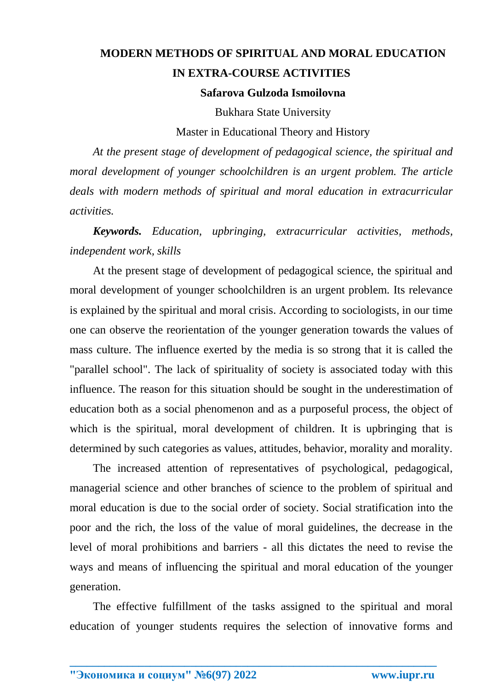## **MODERN METHODS OF SPIRITUAL AND MORAL EDUCATION IN EXTRA-COURSE ACTIVITIES Safarova Gulzoda Ismoilovna**

Bukhara State University

Master in Educational Theory and History

*At the present stage of development of pedagogical science, the spiritual and moral development of younger schoolchildren is an urgent problem. The article deals with modern methods of spiritual and moral education in extracurricular activities.*

*Keywords. Education, upbringing, extracurricular activities, methods, independent work, skills*

At the present stage of development of pedagogical science, the spiritual and moral development of younger schoolchildren is an urgent problem. Its relevance is explained by the spiritual and moral crisis. According to sociologists, in our time one can observe the reorientation of the younger generation towards the values of mass culture. The influence exerted by the media is so strong that it is called the "parallel school". The lack of spirituality of society is associated today with this influence. The reason for this situation should be sought in the underestimation of education both as a social phenomenon and as a purposeful process, the object of which is the spiritual, moral development of children. It is upbringing that is determined by such categories as values, attitudes, behavior, morality and morality.

The increased attention of representatives of psychological, pedagogical, managerial science and other branches of science to the problem of spiritual and moral education is due to the social order of society. Social stratification into the poor and the rich, the loss of the value of moral guidelines, the decrease in the level of moral prohibitions and barriers - all this dictates the need to revise the ways and means of influencing the spiritual and moral education of the younger generation.

The effective fulfillment of the tasks assigned to the spiritual and moral education of younger students requires the selection of innovative forms and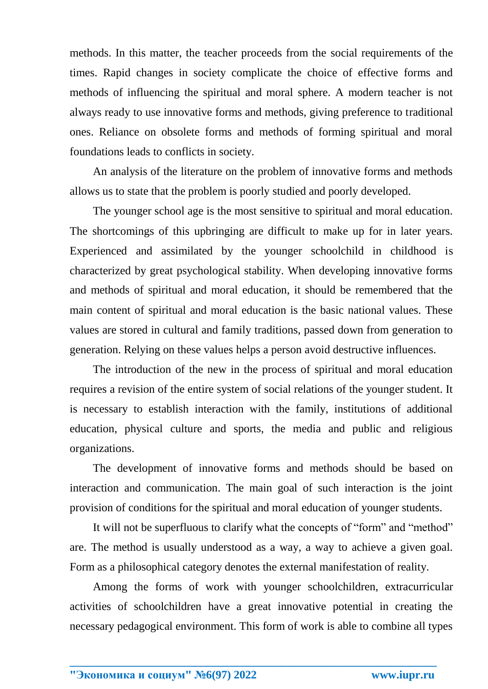methods. In this matter, the teacher proceeds from the social requirements of the times. Rapid changes in society complicate the choice of effective forms and methods of influencing the spiritual and moral sphere. A modern teacher is not always ready to use innovative forms and methods, giving preference to traditional ones. Reliance on obsolete forms and methods of forming spiritual and moral foundations leads to conflicts in society.

An analysis of the literature on the problem of innovative forms and methods allows us to state that the problem is poorly studied and poorly developed.

The younger school age is the most sensitive to spiritual and moral education. The shortcomings of this upbringing are difficult to make up for in later years. Experienced and assimilated by the younger schoolchild in childhood is characterized by great psychological stability. When developing innovative forms and methods of spiritual and moral education, it should be remembered that the main content of spiritual and moral education is the basic national values. These values are stored in cultural and family traditions, passed down from generation to generation. Relying on these values helps a person avoid destructive influences.

The introduction of the new in the process of spiritual and moral education requires a revision of the entire system of social relations of the younger student. It is necessary to establish interaction with the family, institutions of additional education, physical culture and sports, the media and public and religious organizations.

The development of innovative forms and methods should be based on interaction and communication. The main goal of such interaction is the joint provision of conditions for the spiritual and moral education of younger students.

It will not be superfluous to clarify what the concepts of "form" and "method" are. The method is usually understood as a way, a way to achieve a given goal. Form as a philosophical category denotes the external manifestation of reality.

Among the forms of work with younger schoolchildren, extracurricular activities of schoolchildren have a great innovative potential in creating the necessary pedagogical environment. This form of work is able to combine all types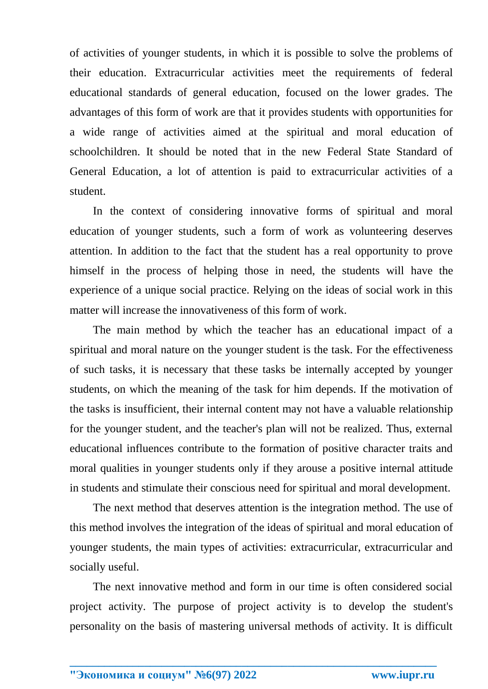of activities of younger students, in which it is possible to solve the problems of their education. Extracurricular activities meet the requirements of federal educational standards of general education, focused on the lower grades. The advantages of this form of work are that it provides students with opportunities for a wide range of activities aimed at the spiritual and moral education of schoolchildren. It should be noted that in the new Federal State Standard of General Education, a lot of attention is paid to extracurricular activities of a student.

In the context of considering innovative forms of spiritual and moral education of younger students, such a form of work as volunteering deserves attention. In addition to the fact that the student has a real opportunity to prove himself in the process of helping those in need, the students will have the experience of a unique social practice. Relying on the ideas of social work in this matter will increase the innovativeness of this form of work.

The main method by which the teacher has an educational impact of a spiritual and moral nature on the younger student is the task. For the effectiveness of such tasks, it is necessary that these tasks be internally accepted by younger students, on which the meaning of the task for him depends. If the motivation of the tasks is insufficient, their internal content may not have a valuable relationship for the younger student, and the teacher's plan will not be realized. Thus, external educational influences contribute to the formation of positive character traits and moral qualities in younger students only if they arouse a positive internal attitude in students and stimulate their conscious need for spiritual and moral development.

The next method that deserves attention is the integration method. The use of this method involves the integration of the ideas of spiritual and moral education of younger students, the main types of activities: extracurricular, extracurricular and socially useful.

The next innovative method and form in our time is often considered social project activity. The purpose of project activity is to develop the student's personality on the basis of mastering universal methods of activity. It is difficult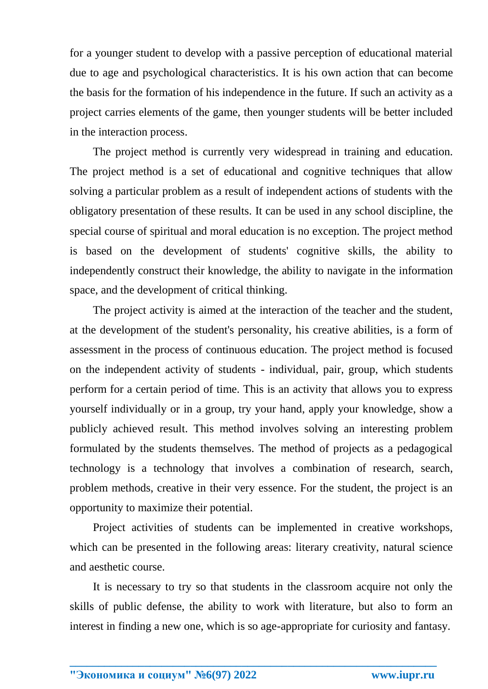for a younger student to develop with a passive perception of educational material due to age and psychological characteristics. It is his own action that can become the basis for the formation of his independence in the future. If such an activity as a project carries elements of the game, then younger students will be better included in the interaction process.

The project method is currently very widespread in training and education. The project method is a set of educational and cognitive techniques that allow solving a particular problem as a result of independent actions of students with the obligatory presentation of these results. It can be used in any school discipline, the special course of spiritual and moral education is no exception. The project method is based on the development of students' cognitive skills, the ability to independently construct their knowledge, the ability to navigate in the information space, and the development of critical thinking.

The project activity is aimed at the interaction of the teacher and the student, at the development of the student's personality, his creative abilities, is a form of assessment in the process of continuous education. The project method is focused on the independent activity of students - individual, pair, group, which students perform for a certain period of time. This is an activity that allows you to express yourself individually or in a group, try your hand, apply your knowledge, show a publicly achieved result. This method involves solving an interesting problem formulated by the students themselves. The method of projects as a pedagogical technology is a technology that involves a combination of research, search, problem methods, creative in their very essence. For the student, the project is an opportunity to maximize their potential.

Project activities of students can be implemented in creative workshops, which can be presented in the following areas: literary creativity, natural science and aesthetic course.

It is necessary to try so that students in the classroom acquire not only the skills of public defense, the ability to work with literature, but also to form an interest in finding a new one, which is so age-appropriate for curiosity and fantasy.